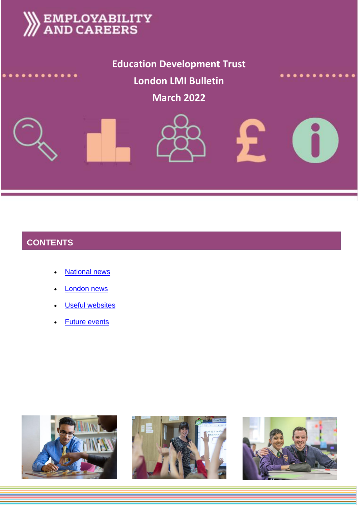

**Education Development Trust London LMI Bulletin**

**March 2022**





# **CONTENTS**

- **[National news](#page-1-0)**
- [London news](#page-4-0)
- **[Useful websites](#page-5-0)**
- [Future events](#page-5-1)





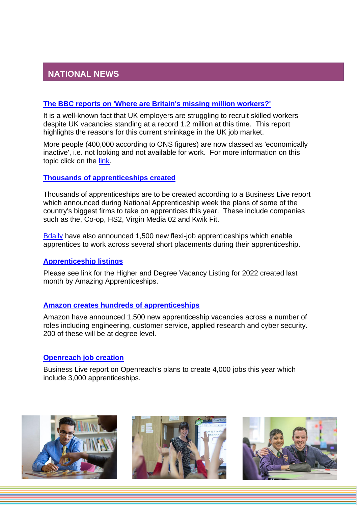# <span id="page-1-0"></span>**NATIONAL NEWS**

#### **[The BBC reports on 'Where are Britain's missing million workers?'](https://www.bbc.co.uk/news/business-60039923)**

It is a well-known fact that UK employers are struggling to recruit skilled workers despite UK vacancies standing at a record 1.2 million at this time. This report highlights the reasons for this current shrinkage in the UK job market.

More people (400,000 according to ONS figures) are now classed as 'economically inactive', i.e. not looking and not available for work. For more information on this topic click on the [link.](https://www.bbc.co.uk/news/business-60039923)

#### **[Thousands of apprenticeships created](https://www.business-live.co.uk/enterprise/companies-including-hs2-virgin-co-23007020)**

Thousands of apprenticeships are to be created according to a Business Live report which announced during National Apprenticeship week the plans of some of the country's biggest firms to take on apprentices this year. These include companies such as the, Co-op, HS2, Virgin Media 02 and Kwik Fit.

[Bdaily](https://bdaily.co.uk/articles/2022/02/10/1500-new-flexible-apprenticeships-encouraged-with-5m-government-backing) have also announced 1,500 new flexi-job apprenticeships which enable apprentices to work across several short placements during their apprenticeship.

#### **[Apprenticeship listings](https://amazingapprenticeships.com/app/uploads/2021/11/Higher-Degree-Listing-FEB-2022.pdf)**

Please see link for the Higher and Degree Vacancy Listing for 2022 created last month by Amazing Apprenticeships.

#### **[Amazon creates hundreds of apprenticeships](https://www.bbc.co.uk/news/business-60208466)**

Amazon have announced 1,500 new apprenticeship vacancies across a number of roles including engineering, customer service, applied research and cyber security. 200 of these will be at degree level.

#### **[Openreach job creation](https://www.business-live.co.uk/enterprise/broadband-giant-openreach-create-4000-23037397)**

Business Live report on Openreach's plans to create 4,000 jobs this year which include 3,000 apprenticeships.





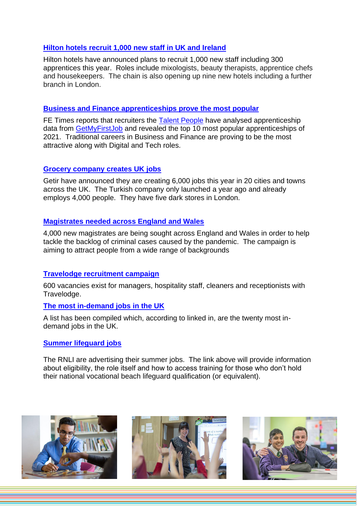### **[Hilton hotels recruit 1,000 new staff in UK and Ireland](https://www.business-live.co.uk/retail-consumer/hilton-hotels-taking-1000-new-22963065)**

Hilton hotels have announced plans to recruit 1,000 new staff including 300 apprentices this year. Roles include mixologists, beauty therapists, apprentice chefs and housekeepers. The chain is also opening up nine new hotels including a further branch in London.

#### **[Business and Finance apprenticeships prove the most popular](https://www.fenews.co.uk/skills/business-and-digital-were-most-popular-apprenticeships-of-2021/)**

FE Times reports that recruiters the [Talent People](https://thetalentpeople.co.uk/) have analysed apprenticeship data from [GetMyFirstJob](https://www.getmyfirstjob.co.uk/) and revealed the top 10 most popular apprenticeships of 2021. Traditional careers in Business and Finance are proving to be the most attractive along with Digital and Tech roles.

#### **[Grocery company creates UK jobs](https://www.thegrocer.co.uk/jobs/getir-to-create-6000-jobs-this-year-as-uk-expansion-continues/663838.article)**

Getir have announced they are creating 6,000 jobs this year in 20 cities and towns across the UK. The Turkish company only launched a year ago and already employs 4,000 people. They have five dark stores in London.

#### **[Magistrates needed across England and Wales](https://www.gov.uk/government/news/magistrate-recruitment-campaign-launched)**

4,000 new magistrates are being sought across England and Wales in order to help tackle the backlog of criminal cases caused by the pandemic. The campaign is aiming to attract people from a wide range of backgrounds

#### **[Travelodge recruitment campaign](https://www.independent.co.uk/business/travelodge-to-recruit-600-staff-across-its-hotels-b1999130.html)**

600 vacancies exist for managers, hospitality staff, cleaners and receptionists with Travelodge.

#### **[The most in-demand jobs in the UK](https://www.linkedin.com/pulse/most-in-demand-jobs-uk-linkedin-rise-2022-linkedin-news-uk/)**

A list has been compiled which, according to linked in, are the twenty most indemand jobs in the UK.

#### **[Summer lifeguard jobs](https://summerjobs.rnli.org/become-a-lifeguard)**

The RNLI are advertising their summer jobs. The link above will provide information about eligibility, the role itself and how to access training for those who don't hold their national vocational beach lifeguard qualification (or equivalent).





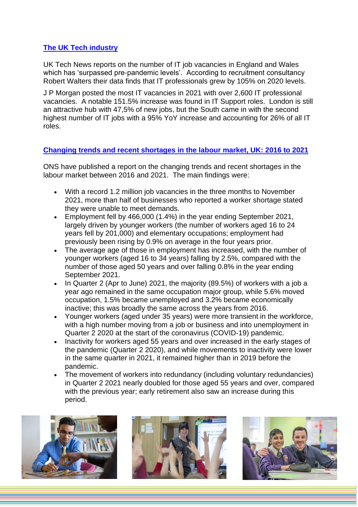# **[The UK Tech industry](https://www.uktech.news/growth-strategy/hr-recruitment/it-job-vacancies-uk-pandemic-20220128)**

UK Tech News reports on the number of IT job vacancies in England and Wales which has 'surpassed pre-pandemic levels'. According to recruitment consultancy Robert Walters their data finds that IT professionals grew by 105% on 2020 levels.

J P Morgan posted the most IT vacancies in 2021 with over 2,600 IT professional vacancies. A notable 151.5% increase was found in IT Support roles. London is still an attractive hub with 47,5% of new jobs, but the South came in with the second highest number of IT jobs with a 95% YoY increase and accounting for 26% of all IT roles.

# **[Changing trends and recent shortages in the labour market, UK: 2016 to 2021](https://www.ons.gov.uk/employmentandlabourmarket/peopleinwork/employmentandemployeetypes/articles/changingtrendsandrecentshortagesinthelabourmarketuk/2016to2021#main-points)**

ONS have published a report on the changing trends and recent shortages in the labour market between 2016 and 2021. The main findings were:

- With a record 1.2 million job vacancies in the three months to November 2021, more than half of businesses who reported a worker shortage stated they were unable to meet demands.
- Employment fell by 466,000 (1.4%) in the year ending September 2021, largely driven by younger workers (the number of workers aged 16 to 24 years fell by 201,000) and elementary occupations; employment had previously been rising by 0.9% on average in the four years prior.
- The average age of those in employment has increased, with the number of younger workers (aged 16 to 34 years) falling by 2.5%, compared with the number of those aged 50 years and over falling 0.8% in the year ending September 2021.
- In Quarter 2 (Apr to June) 2021, the majority (89.5%) of workers with a job a year ago remained in the same occupation major group, while 5.6% moved occupation, 1.5% became unemployed and 3.2% became economically inactive; this was broadly the same across the years from 2016.
- Younger workers (aged under 35 years) were more transient in the workforce, with a high number moving from a job or business and into unemployment in Quarter 2 2020 at the start of the coronavirus (COVID-19) pandemic.
- Inactivity for workers aged 55 years and over increased in the early stages of the pandemic (Quarter 2 2020), and while movements to inactivity were lower in the same quarter in 2021, it remained higher than in 2019 before the pandemic.
- The movement of workers into redundancy (including voluntary redundancies) in Quarter 2 2021 nearly doubled for those aged 55 years and over, compared with the previous year; early retirement also saw an increase during this period.





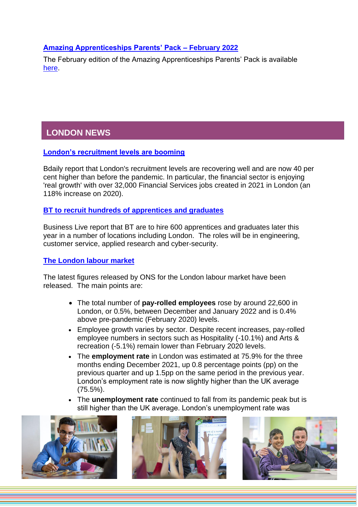## **[Amazing Apprenticeships Parents' Pack –](https://www.apprenticeships.gov.uk/influencers/resources-for-parents) February 2022**

The February edition of the Amazing Apprenticeships Parents' Pack is available [here.](https://www.apprenticeships.gov.uk/influencers/resources-for-parents)

# <span id="page-4-0"></span>**LONDON NEWS**

## **[London's recruitment levels are booming](https://bdaily.co.uk/articles/2022/01/17/london-recruitment-levels-40-per-cent-higher-than-pre-pandemic-levels-new-figures-show)**

Bdaily report that London's recruitment levels are recovering well and are now 40 per cent higher than before the pandemic. In particular, the financial sector is enjoying 'real growth' with over 32,000 Financial Services jobs created in 2021 in London (an 118% increase on 2020).

## **[BT to recruit hundreds of apprentices and graduates](https://www.business-live.co.uk/economic-development/bt-hire-hundreds-apprentices-graduates-22877309)**

Business Live report that BT are to hire 600 apprentices and graduates later this year in a number of locations including London. The roles will be in engineering, customer service, applied research and cyber-security.

## **[The London labour market](https://data.london.gov.uk/briefings/labour-market-update-for-london-february-2022/)**

The latest figures released by ONS for the London labour market have been released. The main points are:

- The total number of **pay-rolled employees** rose by around 22,600 in London, or 0.5%, between December and January 2022 and is 0.4% above pre-pandemic (February 2020) levels.
- Employee growth varies by sector. Despite recent increases, pay-rolled employee numbers in sectors such as Hospitality (-10.1%) and Arts & recreation (-5.1%) remain lower than February 2020 levels.
- The **employment rate** in London was estimated at 75.9% for the three months ending December 2021, up 0.8 percentage points (pp) on the previous quarter and up 1.5pp on the same period in the previous year. London's employment rate is now slightly higher than the UK average (75.5%).
- The **unemployment rate** continued to fall from its pandemic peak but is still higher than the UK average. London's unemployment rate was





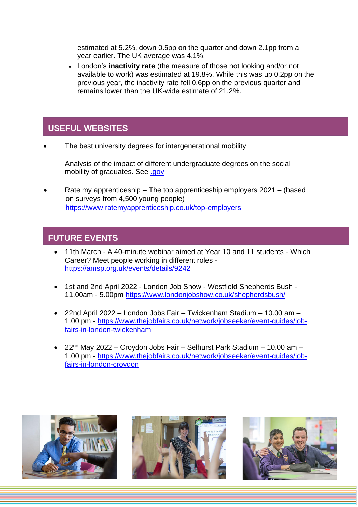estimated at 5.2%, down 0.5pp on the quarter and down 2.1pp from a year earlier. The UK average was 4.1%.

• London's **inactivity rate** (the measure of those not looking and/or not available to work) was estimated at 19.8%. While this was up 0.2pp on the previous year, the inactivity rate fell 0.6pp on the previous quarter and remains lower than the UK-wide estimate of 21.2%.

# <span id="page-5-0"></span>**USEFUL WEBSITES**

The best university degrees for intergenerational mobility

Analysis of the impact of different undergraduate degrees on the social mobility of graduates. See [.gov](https://www.gov.uk/government/publications/the-best-university-degrees-for-intergenerational-mobility?utm_medium=email&utm_campaign=govuk-notifications&utm_source=523de007-590f-4b61-af66-21a41725efac&utm_content=immediately)

• Rate my apprenticeship – The top apprenticeship employers 2021 – (based on surveys from 4,500 young people) <https://www.ratemyapprenticeship.co.uk/top-employers>

# <span id="page-5-1"></span>**FUTURE EVENTS**

- 11th March A 40-minute webinar aimed at Year 10 and 11 students Which Career? Meet people working in different roles <https://amsp.org.uk/events/details/9242>
- 1st and 2nd April 2022 London Job Show Westfield Shepherds Bush 11.00am - 5.00pm<https://www.londonjobshow.co.uk/shepherdsbush/>
- 22nd April 2022 London Jobs Fair Twickenham Stadium 10.00 am 1.00 pm - [https://www.thejobfairs.co.uk/network/jobseeker/event-guides/job](https://www.thejobfairs.co.uk/network/jobseeker/event-guides/job-fairs-in-london-twickenham)[fairs-in-london-twickenham](https://www.thejobfairs.co.uk/network/jobseeker/event-guides/job-fairs-in-london-twickenham)
- 22<sup>nd</sup> May 2022 Croydon Jobs Fair Selhurst Park Stadium 10.00 am 1.00 pm - [https://www.thejobfairs.co.uk/network/jobseeker/event-guides/job](https://www.thejobfairs.co.uk/network/jobseeker/event-guides/job-fairs-in-london-croydon)[fairs-in-london-croydon](https://www.thejobfairs.co.uk/network/jobseeker/event-guides/job-fairs-in-london-croydon)